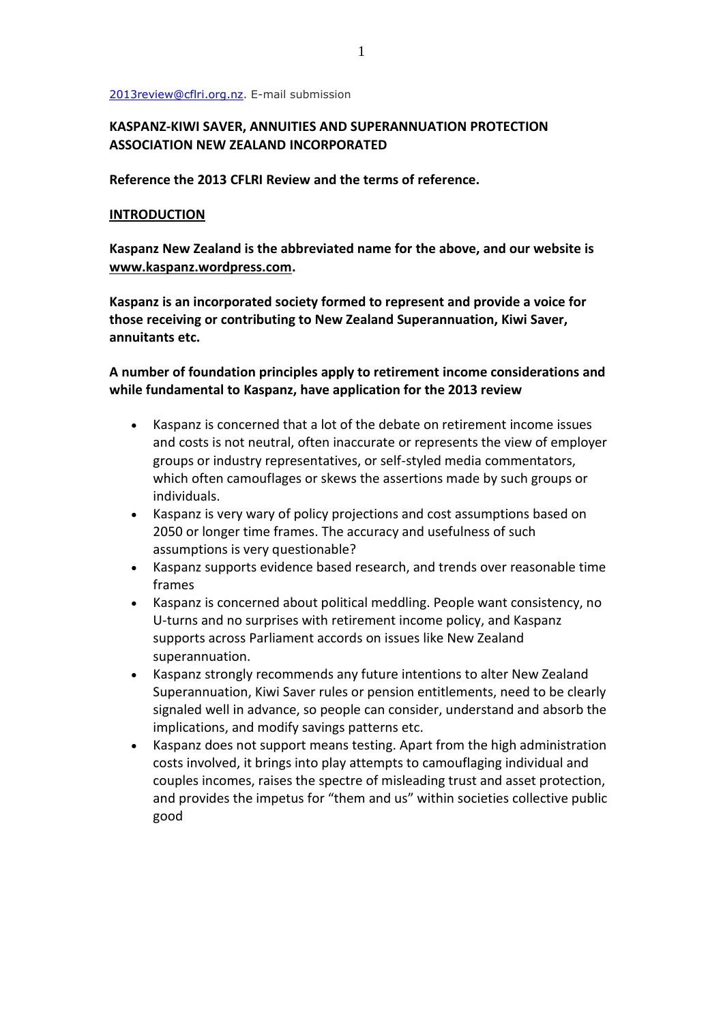#### [2013review@cflri.org.nz.](mailto:2013review@cflri.org.nz?subject=Submission%3A%202013%20Review%20of%20Retirement%20Income%20Policy) E-mail submission

## **KASPANZ-KIWI SAVER, ANNUITIES AND SUPERANNUATION PROTECTION ASSOCIATION NEW ZEALAND INCORPORATED**

**Reference the 2013 CFLRI Review and the terms of reference.**

#### **INTRODUCTION**

**Kaspanz New Zealand is the abbreviated name for the above, and our website is [www.kaspanz.wordpress.com.](http://www.kaspanz.wordpress.com/)**

**Kaspanz is an incorporated society formed to represent and provide a voice for those receiving or contributing to New Zealand Superannuation, Kiwi Saver, annuitants etc.** 

## **A number of foundation principles apply to retirement income considerations and while fundamental to Kaspanz, have application for the 2013 review**

- Kaspanz is concerned that a lot of the debate on retirement income issues and costs is not neutral, often inaccurate or represents the view of employer groups or industry representatives, or self-styled media commentators, which often camouflages or skews the assertions made by such groups or individuals.
- Kaspanz is very wary of policy projections and cost assumptions based on 2050 or longer time frames. The accuracy and usefulness of such assumptions is very questionable?
- Kaspanz supports evidence based research, and trends over reasonable time frames
- Kaspanz is concerned about political meddling. People want consistency, no U-turns and no surprises with retirement income policy, and Kaspanz supports across Parliament accords on issues like New Zealand superannuation.
- Kaspanz strongly recommends any future intentions to alter New Zealand Superannuation, Kiwi Saver rules or pension entitlements, need to be clearly signaled well in advance, so people can consider, understand and absorb the implications, and modify savings patterns etc.
- Kaspanz does not support means testing. Apart from the high administration costs involved, it brings into play attempts to camouflaging individual and couples incomes, raises the spectre of misleading trust and asset protection, and provides the impetus for "them and us" within societies collective public good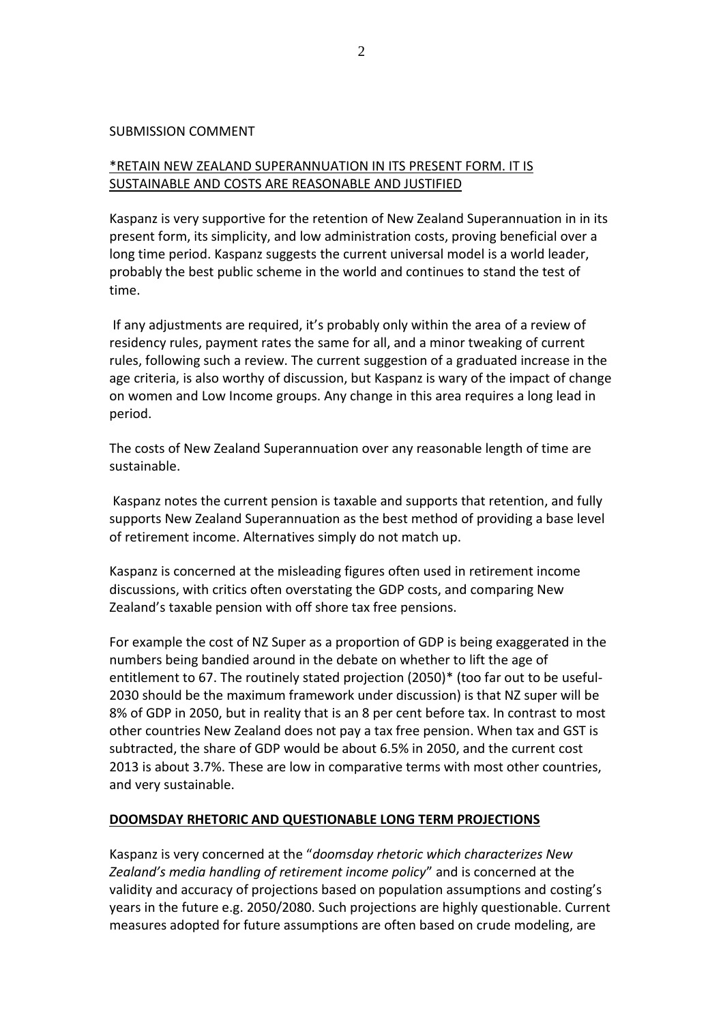#### SUBMISSION COMMENT

# \*RETAIN NEW ZEALAND SUPERANNUATION IN ITS PRESENT FORM. IT IS SUSTAINABLE AND COSTS ARE REASONABLE AND JUSTIFIED

Kaspanz is very supportive for the retention of New Zealand Superannuation in in its present form, its simplicity, and low administration costs, proving beneficial over a long time period. Kaspanz suggests the current universal model is a world leader, probably the best public scheme in the world and continues to stand the test of time.

If any adjustments are required, it's probably only within the area of a review of residency rules, payment rates the same for all, and a minor tweaking of current rules, following such a review. The current suggestion of a graduated increase in the age criteria, is also worthy of discussion, but Kaspanz is wary of the impact of change on women and Low Income groups. Any change in this area requires a long lead in period.

The costs of New Zealand Superannuation over any reasonable length of time are sustainable.

Kaspanz notes the current pension is taxable and supports that retention, and fully supports New Zealand Superannuation as the best method of providing a base level of retirement income. Alternatives simply do not match up.

Kaspanz is concerned at the misleading figures often used in retirement income discussions, with critics often overstating the GDP costs, and comparing New Zealand's taxable pension with off shore tax free pensions.

For example the cost of NZ Super as a proportion of GDP is being exaggerated in the numbers being bandied around in the debate on whether to lift the age of entitlement to 67. The routinely stated projection (2050)\* (too far out to be useful-2030 should be the maximum framework under discussion) is that NZ super will be 8% of GDP in 2050, but in reality that is an 8 per cent before tax. In contrast to most other countries New Zealand does not pay a tax free pension. When tax and GST is subtracted, the share of GDP would be about 6.5% in 2050, and the current cost 2013 is about 3.7%. These are low in comparative terms with most other countries, and very sustainable.

## **DOOMSDAY RHETORIC AND QUESTIONABLE LONG TERM PROJECTIONS**

Kaspanz is very concerned at the "*doomsday rhetoric which characterizes New Zealand's media handling of retirement income policy*" and is concerned at the validity and accuracy of projections based on population assumptions and costing's years in the future e.g. 2050/2080. Such projections are highly questionable. Current measures adopted for future assumptions are often based on crude modeling, are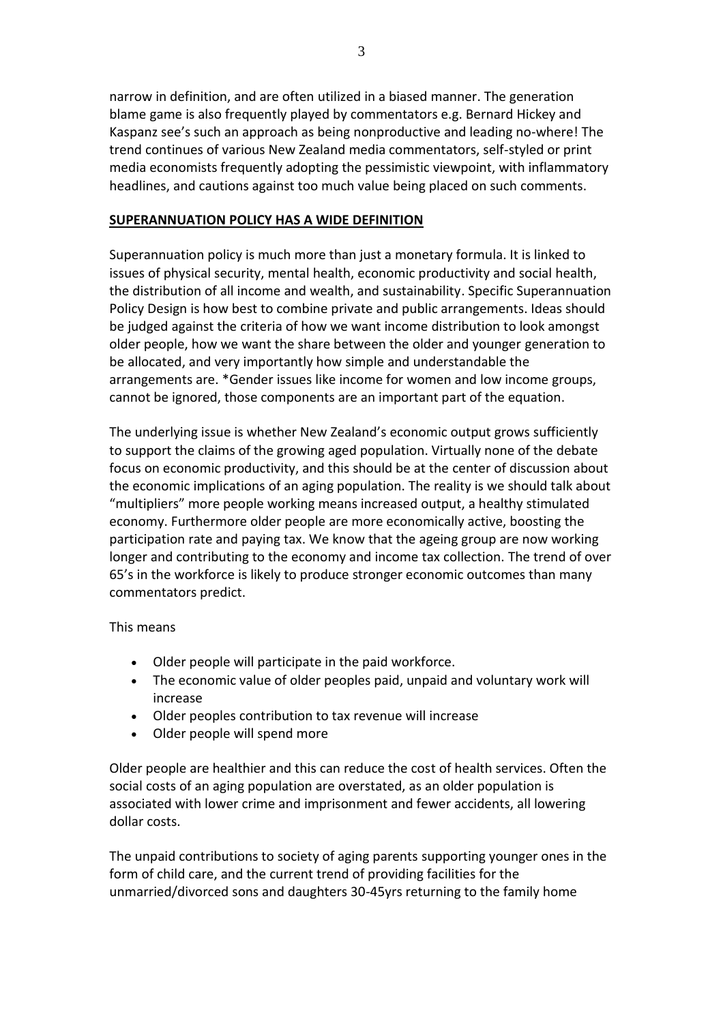narrow in definition, and are often utilized in a biased manner. The generation blame game is also frequently played by commentators e.g. Bernard Hickey and Kaspanz see's such an approach as being nonproductive and leading no-where! The trend continues of various New Zealand media commentators, self-styled or print media economists frequently adopting the pessimistic viewpoint, with inflammatory headlines, and cautions against too much value being placed on such comments.

## **SUPERANNUATION POLICY HAS A WIDE DEFINITION**

Superannuation policy is much more than just a monetary formula. It is linked to issues of physical security, mental health, economic productivity and social health, the distribution of all income and wealth, and sustainability. Specific Superannuation Policy Design is how best to combine private and public arrangements. Ideas should be judged against the criteria of how we want income distribution to look amongst older people, how we want the share between the older and younger generation to be allocated, and very importantly how simple and understandable the arrangements are. \*Gender issues like income for women and low income groups, cannot be ignored, those components are an important part of the equation.

The underlying issue is whether New Zealand's economic output grows sufficiently to support the claims of the growing aged population. Virtually none of the debate focus on economic productivity, and this should be at the center of discussion about the economic implications of an aging population. The reality is we should talk about "multipliers" more people working means increased output, a healthy stimulated economy. Furthermore older people are more economically active, boosting the participation rate and paying tax. We know that the ageing group are now working longer and contributing to the economy and income tax collection. The trend of over 65's in the workforce is likely to produce stronger economic outcomes than many commentators predict.

This means

- Older people will participate in the paid workforce.
- The economic value of older peoples paid, unpaid and voluntary work will increase
- Older peoples contribution to tax revenue will increase
- Older people will spend more

Older people are healthier and this can reduce the cost of health services. Often the social costs of an aging population are overstated, as an older population is associated with lower crime and imprisonment and fewer accidents, all lowering dollar costs.

The unpaid contributions to society of aging parents supporting younger ones in the form of child care, and the current trend of providing facilities for the unmarried/divorced sons and daughters 30-45yrs returning to the family home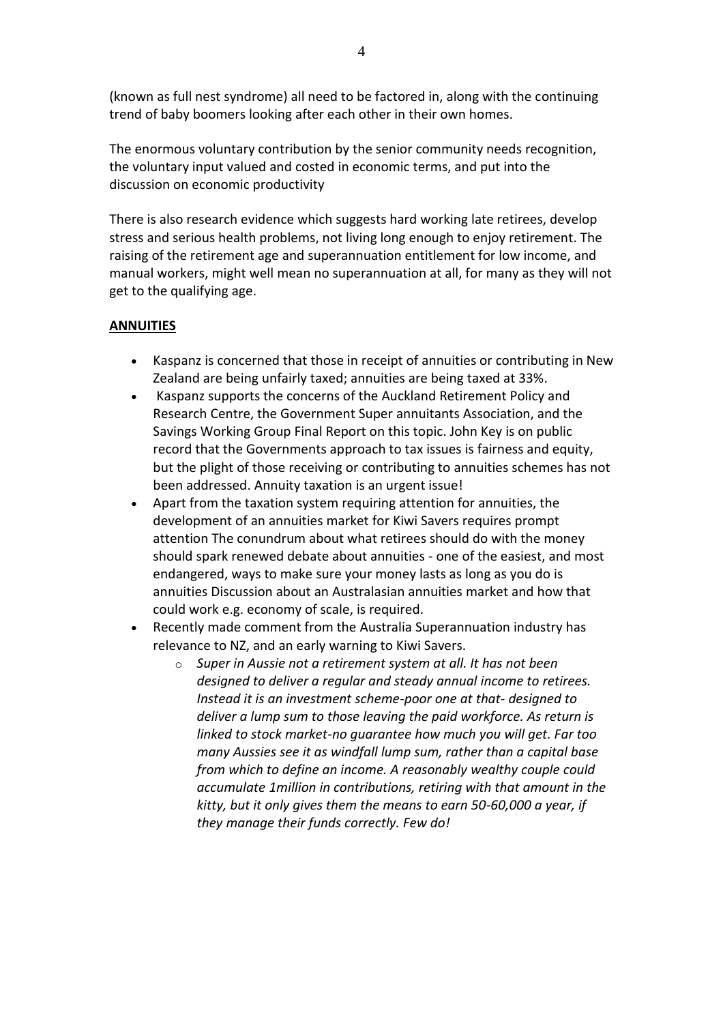(known as full nest syndrome) all need to be factored in, along with the continuing trend of baby boomers looking after each other in their own homes.

The enormous voluntary contribution by the senior community needs recognition, the voluntary input valued and costed in economic terms, and put into the discussion on economic productivity

There is also research evidence which suggests hard working late retirees, develop stress and serious health problems, not living long enough to enjoy retirement. The raising of the retirement age and superannuation entitlement for low income, and manual workers, might well mean no superannuation at all, for many as they will not get to the qualifying age.

## **ANNUITIES**

- Kaspanz is concerned that those in receipt of annuities or contributing in New Zealand are being unfairly taxed; annuities are being taxed at 33%.
- Kaspanz supports the concerns of the Auckland Retirement Policy and Research Centre, the Government Super annuitants Association, and the Savings Working Group Final Report on this topic. John Key is on public record that the Governments approach to tax issues is fairness and equity, but the plight of those receiving or contributing to annuities schemes has not been addressed. Annuity taxation is an urgent issue!
- Apart from the taxation system requiring attention for annuities, the development of an annuities market for Kiwi Savers requires prompt attention The conundrum about what retirees should do with the money should spark renewed debate about annuities - one of the easiest, and most endangered, ways to make sure your money lasts as long as you do is annuities Discussion about an Australasian annuities market and how that could work e.g. economy of scale, is required.
- Recently made comment from the Australia Superannuation industry has relevance to NZ, and an early warning to Kiwi Savers.
	- o *Super in Aussie not a retirement system at all. It has not been designed to deliver a regular and steady annual income to retirees. Instead it is an investment scheme-poor one at that- designed to deliver a lump sum to those leaving the paid workforce. As return is linked to stock market-no guarantee how much you will get. Far too many Aussies see it as windfall lump sum, rather than a capital base from which to define an income. A reasonably wealthy couple could accumulate 1million in contributions, retiring with that amount in the kitty, but it only gives them the means to earn 50-60,000 a year, if they manage their funds correctly. Few do!*